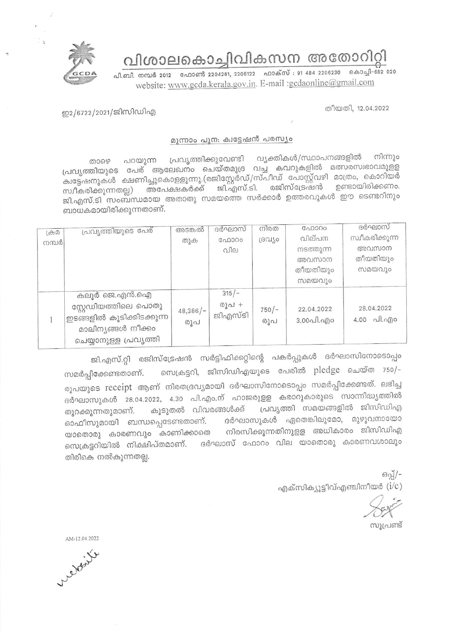

വിശാലകൊച്ചിവികസന അതോറിറ്റി

പി.ബി. നമ്പർ 2012 ഫോൺ 2204261, 2206122 ഫാക്സ് : 91 484 2206230 കൊച്ചി-682 020 website: www.gcda.kerala.gov.in. E-mail :gcdaonline@gmail.com

തീയതി. 12.04.2022

ഇ2/6722/2021/ജിസിഡിഎ

## മുന്നാം പുന: ക്വട്ടേഷൻ പരസ്യം

വ്യക്തികൾ/സ്ഥാപനങ്ങളിൽ നിന്നും പ്രവൃത്തിക്കുവേണ്ടി പറയുന്ന താഴെ പ്രവൃത്തിയുടെ പേര് ആലേഖനം ചെയ്തമുദ്ര വച്ച കവറുകളിൽ മത്സരസ്വഭാവമുളള .<br>ക്വട്ടേഷനുകൾ ക്ഷണിച്ചുകൊളളുന്നു.(രജിസ്റ്റേർഡ്/സ്പീഡ് പോസ്റ്റ്വഴി മാത്രം, കൊറിയർ അപേക്ഷകർക്ക് ജി.എസ്.ടി. രജിസ്ട്രേഷൻ ഉണ്ടായിരിക്കണം. സ്വീകരിക്കുന്നതല്ല) ജി.എസ്.ടി സംബന്ധമായ അതാതു സമയത്തെ സർക്കാർ ഉത്തരവുകൾ ഈ ടെണ്ടറിനും ബാധകമായിരിക്കുന്നതാണ്.

| $(\bigoplus \mathcal{D})$ | പ്രവൃത്തിയുടെ പേര്         | അടങ്കൽ            | ദർഘാസ്           | നിരത           | ഫോറം                    | ദർഘാസ്          |
|---------------------------|----------------------------|-------------------|------------------|----------------|-------------------------|-----------------|
| നമ്പർ                     |                            | തുക               | ഫോറം             | ദ്രവിശ         | വില്പന                  | സ്വീകരിക്കുന്ന  |
|                           |                            |                   | വില              |                | നടത്തുന്ന               | അവസാന           |
|                           |                            |                   |                  |                | അവസാന                   | തീയതിയും        |
|                           |                            |                   |                  |                | തീയതിയും                | സമയവും          |
|                           |                            |                   |                  |                | സമയവും                  |                 |
|                           | കലൂർ ജെ.എൻ.ഐ               |                   | $315/-$          |                |                         |                 |
|                           | സ്റ്റേഡിയത്തിലെ പൊതു       | $48,386/-$<br>രൂപ | രൂപ +<br>ജിഎസ്ടി | $750/-$<br>രൂപ | 22.04.2022<br>3.00പി.എo | 28.04.2022      |
|                           | 'ഇടങ്ങളിൽ കൂടിക്കിടക്കുന്ന |                   |                  |                |                         | $4.00$ all. ago |
|                           | മാലിന്യങ്ങൾ നീക്കം         |                   |                  |                |                         |                 |
|                           | ചെയ്യാനുള്ള പ്രവൃത്തി      |                   |                  |                |                         |                 |

ജി.എസ്.റ്റി രജിസ്ട്രേഷൻ സർട്ടിഫിക്കറ്റിന്റെ പകർപ്പുകൾ ദർഘാസിനോടൊപ്പം സെക്രട്ടറി, ജിസിഡിഎയുടെ പേരിൽ pledge ചെയ്ത 750/– സമർപ്പിക്കേണ്ടതാണ്. രൂപയുടെ receipt ആണ് നിരതദ്രവ്യമായി ദർഘാസിനോടൊപ്പം സമർപ്പിക്കേണ്ടത്. ലഭിച്ച ദർഘാസുകൾ 28.04.2022, 4.30 പി.എം.ന് ഹാജരുളള കരാറുകാരുടെ സാന്നിദ്ധ്യത്തിൽ പ്രവൃത്തി സമയങ്ങളിൽ ജിസിഡിഎ കൂടുതൽ വിവരങ്ങൾക്ക് തുറക്കുന്നതുമാണ്. ദർഘാസുകൾ ഏതെങ്കിലുമോ, മുഴുവനായോ ഓഫീസുമായി ബന്ധപ്പെടേണ്ടതാണ്. നിരസിക്കുന്നതിനുളള അധികാരം ജിസിഡിഎ യാതൊരു കാരണവും കാണിക്കാതെ സെക്രട്ടറിയിൽ നിക്ഷിപ്തമാണ്. ദർഘാസ് ഫോറം വില യാതൊരു കാരണവശാലും തിരികെ നൽകുന്നതല്ല.

> ഒപ്പ്/-എക്സിക്യൂട്ടീവ്എഞ്ചിനീയർ  $(i/c)$

സൂപ്രണ്ട്

AM-12.04.2022

Clebert